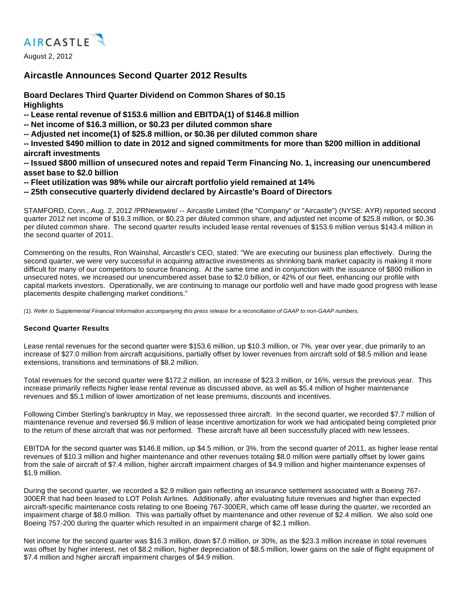

# **Aircastle Announces Second Quarter 2012 Results**

## **Board Declares Third Quarter Dividend on Common Shares of \$0.15**

**Highlights**

**-- Lease rental revenue of \$153.6 million and EBITDA(1) of \$146.8 million**

**-- Net income of \$16.3 million, or \$0.23 per diluted common share**

**-- Adjusted net income(1) of \$25.8 million, or \$0.36 per diluted common share**

**-- Invested \$490 million to date in 2012 and signed commitments for more than \$200 million in additional aircraft investments**

**-- Issued \$800 million of unsecured notes and repaid Term Financing No. 1, increasing our unencumbered asset base to \$2.0 billion**

**-- Fleet utilization was 98% while our aircraft portfolio yield remained at 14%**

**-- 25th consecutive quarterly dividend declared by Aircastle's Board of Directors**

STAMFORD, Conn., Aug. 2, 2012 /PRNewswire/ -- Aircastle Limited (the "Company" or "Aircastle") (NYSE: AYR) reported second quarter 2012 net income of \$16.3 million, or \$0.23 per diluted common share, and adjusted net income of \$25.8 million, or \$0.36 per diluted common share. The second quarter results included lease rental revenues of \$153.6 million versus \$143.4 million in the second quarter of 2011.

Commenting on the results, Ron Wainshal, Aircastle's CEO, stated: "We are executing our business plan effectively. During the second quarter, we were very successful in acquiring attractive investments as shrinking bank market capacity is making it more difficult for many of our competitors to source financing. At the same time and in conjunction with the issuance of \$800 million in unsecured notes, we increased our unencumbered asset base to \$2.0 billion, or 42% of our fleet, enhancing our profile with capital markets investors. Operationally, we are continuing to manage our portfolio well and have made good progress with lease placements despite challenging market conditions."

(1). Refer to Supplemental Financial Information accompanying this press release for a reconciliation of GAAP to non-GAAP numbers.

## **Second Quarter Results**

Lease rental revenues for the second quarter were \$153.6 million, up \$10.3 million, or 7%, year over year, due primarily to an increase of \$27.0 million from aircraft acquisitions, partially offset by lower revenues from aircraft sold of \$8.5 million and lease extensions, transitions and terminations of \$8.2 million.

Total revenues for the second quarter were \$172.2 million, an increase of \$23.3 million, or 16%, versus the previous year. This increase primarily reflects higher lease rental revenue as discussed above, as well as \$5.4 million of higher maintenance revenues and \$5.1 million of lower amortization of net lease premiums, discounts and incentives.

Following Cimber Sterling's bankruptcy in May, we repossessed three aircraft. In the second quarter, we recorded \$7.7 million of maintenance revenue and reversed \$6.9 million of lease incentive amortization for work we had anticipated being completed prior to the return of these aircraft that was not performed. These aircraft have all been successfully placed with new lessees.

EBITDA for the second quarter was \$146.8 million, up \$4.5 million, or 3%, from the second quarter of 2011, as higher lease rental revenues of \$10.3 million and higher maintenance and other revenues totaling \$8.0 million were partially offset by lower gains from the sale of aircraft of \$7.4 million, higher aircraft impairment charges of \$4.9 million and higher maintenance expenses of \$1.9 million.

During the second quarter, we recorded a \$2.9 million gain reflecting an insurance settlement associated with a Boeing 767- 300ER that had been leased to LOT Polish Airlines. Additionally, after evaluating future revenues and higher than expected aircraft-specific maintenance costs relating to one Boeing 767-300ER, which came off lease during the quarter, we recorded an impairment charge of \$8.0 million. This was partially offset by maintenance and other revenue of \$2.4 million. We also sold one Boeing 757-200 during the quarter which resulted in an impairment charge of \$2.1 million.

Net income for the second quarter was \$16.3 million, down \$7.0 million, or 30%, as the \$23.3 million increase in total revenues was offset by higher interest, net of \$8.2 million, higher depreciation of \$8.5 million, lower gains on the sale of flight equipment of \$7.4 million and higher aircraft impairment charges of \$4.9 million.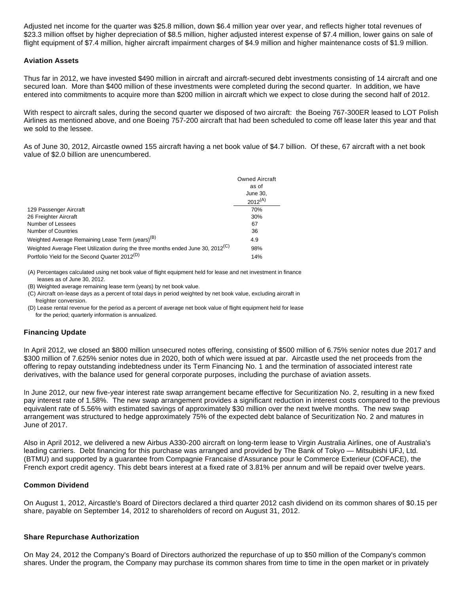Adjusted net income for the quarter was \$25.8 million, down \$6.4 million year over year, and reflects higher total revenues of \$23.3 million offset by higher depreciation of \$8.5 million, higher adjusted interest expense of \$7.4 million, lower gains on sale of flight equipment of \$7.4 million, higher aircraft impairment charges of \$4.9 million and higher maintenance costs of \$1.9 million.

### **Aviation Assets**

Thus far in 2012, we have invested \$490 million in aircraft and aircraft-secured debt investments consisting of 14 aircraft and one secured loan. More than \$400 million of these investments were completed during the second quarter. In addition, we have entered into commitments to acquire more than \$200 million in aircraft which we expect to close during the second half of 2012.

With respect to aircraft sales, during the second quarter we disposed of two aircraft: the Boeing 767-300ER leased to LOT Polish Airlines as mentioned above, and one Boeing 757-200 aircraft that had been scheduled to come off lease later this year and that we sold to the lessee.

As of June 30, 2012, Aircastle owned 155 aircraft having a net book value of \$4.7 billion. Of these, 67 aircraft with a net book value of \$2.0 billion are unencumbered.

|                                                                                               | <b>Owned Aircraft</b><br>as of |
|-----------------------------------------------------------------------------------------------|--------------------------------|
|                                                                                               | June 30,                       |
|                                                                                               | $2012^{(A)}$                   |
| 129 Passenger Aircraft                                                                        | 70%                            |
| 26 Freighter Aircraft                                                                         | 30%                            |
| Number of Lessees                                                                             | 67                             |
| Number of Countries                                                                           | 36                             |
| Weighted Average Remaining Lease Term (years) <sup>(B)</sup>                                  | 4.9                            |
| Weighted Average Fleet Utilization during the three months ended June 30, 2012 <sup>(C)</sup> | 98%                            |
| Portfolio Yield for the Second Quarter 2012 <sup>(D)</sup>                                    | 14%                            |

(A) Percentages calculated using net book value of flight equipment held for lease and net investment in finance leases as of June 30, 2012.

(B) Weighted average remaining lease term (years) by net book value.

(C) Aircraft on-lease days as a percent of total days in period weighted by net book value, excluding aircraft in freighter conversion.

(D) Lease rental revenue for the period as a percent of average net book value of flight equipment held for lease for the period; quarterly information is annualized.

### **Financing Update**

In April 2012, we closed an \$800 million unsecured notes offering, consisting of \$500 million of 6.75% senior notes due 2017 and \$300 million of 7.625% senior notes due in 2020, both of which were issued at par. Aircastle used the net proceeds from the offering to repay outstanding indebtedness under its Term Financing No. 1 and the termination of associated interest rate derivatives, with the balance used for general corporate purposes, including the purchase of aviation assets.

In June 2012, our new five-year interest rate swap arrangement became effective for Securitization No. 2, resulting in a new fixed pay interest rate of 1.58%. The new swap arrangement provides a significant reduction in interest costs compared to the previous equivalent rate of 5.56% with estimated savings of approximately \$30 million over the next twelve months. The new swap arrangement was structured to hedge approximately 75% of the expected debt balance of Securitization No. 2 and matures in June of 2017.

Also in April 2012, we delivered a new Airbus A330-200 aircraft on long-term lease to Virgin Australia Airlines, one of Australia's leading carriers. Debt financing for this purchase was arranged and provided by The Bank of Tokyo — Mitsubishi UFJ, Ltd. (BTMU) and supported by a guarantee from Compagnie Francaise d'Assurance pour le Commerce Exterieur (COFACE), the French export credit agency. This debt bears interest at a fixed rate of 3.81% per annum and will be repaid over twelve years.

### **Common Dividend**

On August 1, 2012, Aircastle's Board of Directors declared a third quarter 2012 cash dividend on its common shares of \$0.15 per share, payable on September 14, 2012 to shareholders of record on August 31, 2012.

#### **Share Repurchase Authorization**

On May 24, 2012 the Company's Board of Directors authorized the repurchase of up to \$50 million of the Company's common shares. Under the program, the Company may purchase its common shares from time to time in the open market or in privately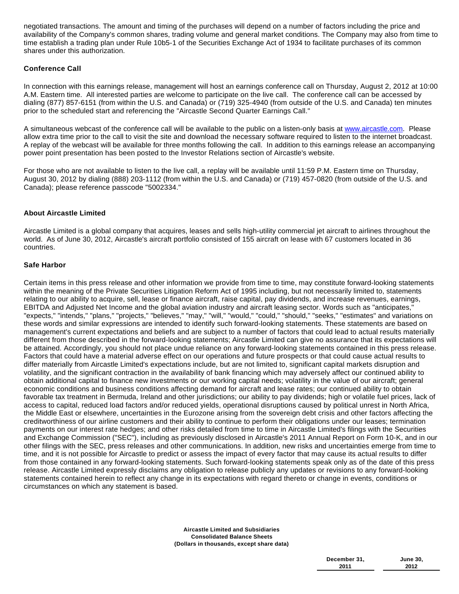negotiated transactions. The amount and timing of the purchases will depend on a number of factors including the price and availability of the Company's common shares, trading volume and general market conditions. The Company may also from time to time establish a trading plan under Rule 10b5-1 of the Securities Exchange Act of 1934 to facilitate purchases of its common shares under this authorization.

## **Conference Call**

In connection with this earnings release, management will host an earnings conference call on Thursday, August 2, 2012 at 10:00 A.M. Eastern time. All interested parties are welcome to participate on the live call. The conference call can be accessed by dialing (877) 857-6151 (from within the U.S. and Canada) or (719) 325-4940 (from outside of the U.S. and Canada) ten minutes prior to the scheduled start and referencing the "Aircastle Second Quarter Earnings Call."

A simultaneous webcast of the conference call will be available to the public on a listen-only basis at [www.aircastle.com](http://www.aircastle.com/). Please allow extra time prior to the call to visit the site and download the necessary software required to listen to the internet broadcast. A replay of the webcast will be available for three months following the call. In addition to this earnings release an accompanying power point presentation has been posted to the Investor Relations section of Aircastle's website.

For those who are not available to listen to the live call, a replay will be available until 11:59 P.M. Eastern time on Thursday, August 30, 2012 by dialing (888) 203-1112 (from within the U.S. and Canada) or (719) 457-0820 (from outside of the U.S. and Canada); please reference passcode "5002334."

### **About Aircastle Limited**

Aircastle Limited is a global company that acquires, leases and sells high-utility commercial jet aircraft to airlines throughout the world. As of June 30, 2012, Aircastle's aircraft portfolio consisted of 155 aircraft on lease with 67 customers located in 36 countries.

### **Safe Harbor**

Certain items in this press release and other information we provide from time to time, may constitute forward-looking statements within the meaning of the Private Securities Litigation Reform Act of 1995 including, but not necessarily limited to, statements relating to our ability to acquire, sell, lease or finance aircraft, raise capital, pay dividends, and increase revenues, earnings, EBITDA and Adjusted Net Income and the global aviation industry and aircraft leasing sector. Words such as "anticipates," "expects," "intends," "plans," "projects," "believes," "may," "will," "would," "could," "should," "seeks," "estimates" and variations on these words and similar expressions are intended to identify such forward-looking statements. These statements are based on management's current expectations and beliefs and are subject to a number of factors that could lead to actual results materially different from those described in the forward-looking statements; Aircastle Limited can give no assurance that its expectations will be attained. Accordingly, you should not place undue reliance on any forward-looking statements contained in this press release. Factors that could have a material adverse effect on our operations and future prospects or that could cause actual results to differ materially from Aircastle Limited's expectations include, but are not limited to, significant capital markets disruption and volatility, and the significant contraction in the availability of bank financing which may adversely affect our continued ability to obtain additional capital to finance new investments or our working capital needs; volatility in the value of our aircraft; general economic conditions and business conditions affecting demand for aircraft and lease rates; our continued ability to obtain favorable tax treatment in Bermuda, Ireland and other jurisdictions; our ability to pay dividends; high or volatile fuel prices, lack of access to capital, reduced load factors and/or reduced yields, operational disruptions caused by political unrest in North Africa, the Middle East or elsewhere, uncertainties in the Eurozone arising from the sovereign debt crisis and other factors affecting the creditworthiness of our airline customers and their ability to continue to perform their obligations under our leases; termination payments on our interest rate hedges; and other risks detailed from time to time in Aircastle Limited's filings with the Securities and Exchange Commission ("SEC"), including as previously disclosed in Aircastle's 2011 Annual Report on Form 10-K, and in our other filings with the SEC, press releases and other communications. In addition, new risks and uncertainties emerge from time to time, and it is not possible for Aircastle to predict or assess the impact of every factor that may cause its actual results to differ from those contained in any forward-looking statements. Such forward-looking statements speak only as of the date of this press release. Aircastle Limited expressly disclaims any obligation to release publicly any updates or revisions to any forward-looking statements contained herein to reflect any change in its expectations with regard thereto or change in events, conditions or circumstances on which any statement is based.

> **Aircastle Limited and Subsidiaries Consolidated Balance Sheets (Dollars in thousands, except share data)**

**June 30, 2012**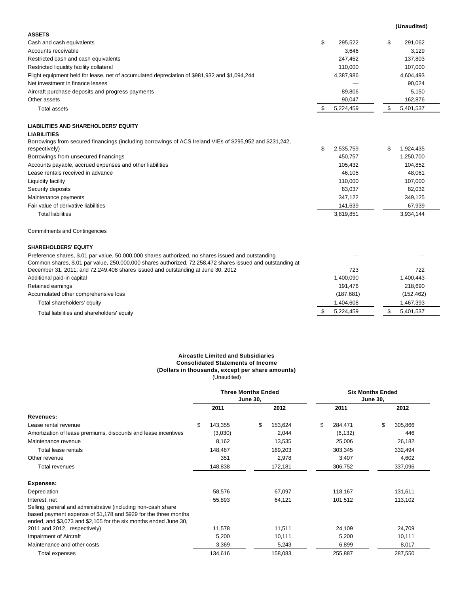|                                                                                                            |                 | (Unaudited)     |
|------------------------------------------------------------------------------------------------------------|-----------------|-----------------|
| <b>ASSETS</b>                                                                                              |                 |                 |
| Cash and cash equivalents                                                                                  | \$<br>295,522   | \$<br>291,062   |
| Accounts receivable                                                                                        | 3,646           | 3,129           |
| Restricted cash and cash equivalents                                                                       | 247,452         | 137,803         |
| Restricted liquidity facility collateral                                                                   | 110,000         | 107,000         |
| Flight equipment held for lease, net of accumulated depreciation of \$981,932 and \$1,094,244              | 4,387,986       | 4,604,493       |
| Net investment in finance leases                                                                           |                 | 90,024          |
| Aircraft purchase deposits and progress payments                                                           | 89,806          | 5,150           |
| Other assets                                                                                               | 90,047          | 162,876         |
| <b>Total assets</b>                                                                                        | \$<br>5,224,459 | \$<br>5,401,537 |
| <b>LIABILITIES AND SHAREHOLDERS' EQUITY</b>                                                                |                 |                 |
| <b>LIABILITIES</b>                                                                                         |                 |                 |
| Borrowings from secured financings (including borrowings of ACS Ireland VIEs of \$295,952 and \$231,242,   |                 |                 |
| respectively)                                                                                              | \$<br>2,535,759 | \$<br>1,924,435 |
| Borrowings from unsecured financings                                                                       | 450,757         | 1,250,700       |
| Accounts payable, accrued expenses and other liabilities                                                   | 105,432         | 104,852         |
| Lease rentals received in advance                                                                          | 46,105          | 48,061          |
| Liquidity facility                                                                                         | 110,000         | 107,000         |
| Security deposits                                                                                          | 83,037          | 82,032          |
| Maintenance payments                                                                                       | 347,122         | 349,125         |
| Fair value of derivative liabilities                                                                       | 141,639         | 67,939          |
| <b>Total liabilities</b>                                                                                   | 3,819,851       | 3,934,144       |
| <b>Commitments and Contingencies</b>                                                                       |                 |                 |
| <b>SHAREHOLDERS' EQUITY</b>                                                                                |                 |                 |
| Preference shares, \$.01 par value, 50,000,000 shares authorized, no shares issued and outstanding         |                 |                 |
| Common shares, \$.01 par value, 250,000,000 shares authorized, 72,258,472 shares issued and outstanding at |                 |                 |
| December 31, 2011; and 72,249,408 shares issued and outstanding at June 30, 2012                           | 723             | 722             |
| Additional paid-in capital                                                                                 | 1,400,090       | 1,400,443       |
| Retained earnings                                                                                          | 191,476         | 218,690         |
| Accumulated other comprehensive loss                                                                       | (187, 681)      | (152, 462)      |
| Total shareholders' equity                                                                                 | 1,404,608       | 1,467,393       |
| Total liabilities and shareholders' equity                                                                 | \$<br>5,224,459 | \$<br>5,401,537 |

#### **Aircastle Limited and Subsidiaries Consolidated Statements of Income (Dollars in thousands, except per share amounts)** (Unaudited)

|                                                                                                                                                                                                                       |               | <b>Three Months Ended</b><br><b>June 30,</b> |               | <b>Six Months Ended</b><br><b>June 30,</b> |
|-----------------------------------------------------------------------------------------------------------------------------------------------------------------------------------------------------------------------|---------------|----------------------------------------------|---------------|--------------------------------------------|
|                                                                                                                                                                                                                       | 2011          | 2012                                         | 2011          | 2012                                       |
| Revenues:                                                                                                                                                                                                             |               |                                              |               |                                            |
| Lease rental revenue                                                                                                                                                                                                  | 143,355<br>\$ | \$<br>153,624                                | \$<br>284,471 | 305,866<br>\$                              |
| Amortization of lease premiums, discounts and lease incentives                                                                                                                                                        | (3,030)       | 2,044                                        | (6, 132)      | 446                                        |
| Maintenance revenue                                                                                                                                                                                                   | 8,162         | 13,535                                       | 25,006        | 26,182                                     |
| Total lease rentals                                                                                                                                                                                                   | 148,487       | 169,203                                      | 303,345       | 332,494                                    |
| Other revenue                                                                                                                                                                                                         | 351           | 2,978                                        | 3,407         | 4,602                                      |
| <b>Total revenues</b>                                                                                                                                                                                                 | 148,838       | 172,181                                      | 306,752       | 337,096                                    |
| Expenses:                                                                                                                                                                                                             |               |                                              |               |                                            |
| Depreciation                                                                                                                                                                                                          | 58,576        | 67,097                                       | 118,167       | 131,611                                    |
| Interest, net<br>Selling, general and administrative (including non-cash share<br>based payment expense of \$1,178 and \$929 for the three months<br>ended, and \$3,073 and \$2,105 for the six months ended June 30, | 55,893        | 64,121                                       | 101,512       | 113,102                                    |
| 2011 and 2012, respectively)                                                                                                                                                                                          | 11,578        | 11,511                                       | 24,109        | 24,709                                     |
| Impairment of Aircraft                                                                                                                                                                                                | 5,200         | 10,111                                       | 5,200         | 10,111                                     |
| Maintenance and other costs                                                                                                                                                                                           | 3,369         | 5,243                                        | 6,899         | 8,017                                      |
| Total expenses                                                                                                                                                                                                        | 134,616       | 158,083                                      | 255,887       | 287,550                                    |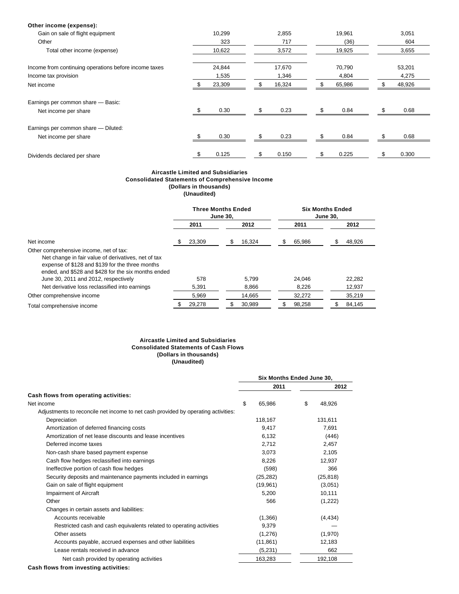### **Other income (expense):**

| 10,299 |   | 2,855  |     | 19,961 | 3,051       |
|--------|---|--------|-----|--------|-------------|
| 323    |   | 717    |     | (36)   | 604         |
| 10,622 |   | 3,572  |     | 19,925 | 3,655       |
| 24,844 |   | 17,670 |     | 70,790 | 53,201      |
| 1,535  |   | 1,346  |     | 4,804  | 4,275       |
| 23,309 |   | 16,324 |     | 65,986 | 48,926      |
|        |   |        |     |        |             |
| 0.30   |   | 0.23   |     | 0.84   | 0.68        |
|        |   |        |     |        |             |
| 0.30   |   | 0.23   | \$. | 0.84   | 0.68        |
| 0.125  | S | 0.150  | \$  | 0.225  | \$<br>0.300 |
|        |   |        |     |        |             |

#### **Aircastle Limited and Subsidiaries Consolidated Statements of Comprehensive Income (Dollars in thousands) (Unaudited)**

**Three Months Ended June 30, Six Months Ended June 30, 2011 2012 2011 2012** Net income \$ 23,309 \$ 16,324 \$ 65,986 \$ 48,926 Other comprehensive income, net of tax: Net change in fair value of derivatives, net of tax expense of \$128 and \$139 for the three months ended, and \$528 and \$428 for the six months ended June 30, 2011 and 2012, respectively 578 5,799 24,046 22,282 Net derivative loss reclassified into earnings  $12,937$   $8,866$   $8,226$   $12,937$ Other comprehensive income  $5,969$   $14,665$   $32,272$   $35,219$ Total comprehensive income **\$ 29,278** \$ 30,989 \$ 98,258 \$ 84,145

#### **Aircastle Limited and Subsidiaries Consolidated Statements of Cash Flows (Dollars in thousands) (Unaudited)**

|                                                                                   | Six Months Ended June 30, |              |  |
|-----------------------------------------------------------------------------------|---------------------------|--------------|--|
|                                                                                   | 2011                      | 2012         |  |
| Cash flows from operating activities:                                             |                           |              |  |
| Net income                                                                        | \$<br>65,986              | \$<br>48,926 |  |
| Adjustments to reconcile net income to net cash provided by operating activities: |                           |              |  |
| Depreciation                                                                      | 118,167                   | 131,611      |  |
| Amortization of deferred financing costs                                          | 9,417                     | 7.691        |  |
| Amortization of net lease discounts and lease incentives                          | 6.132                     | (446)        |  |
| Deferred income taxes                                                             | 2,712                     | 2,457        |  |
| Non-cash share based payment expense                                              | 3,073                     | 2,105        |  |
| Cash flow hedges reclassified into earnings                                       | 8,226                     | 12,937       |  |
| Ineffective portion of cash flow hedges                                           | (598)                     | 366          |  |
| Security deposits and maintenance payments included in earnings                   | (25, 282)                 | (25, 818)    |  |
| Gain on sale of flight equipment                                                  | (19,961)                  | (3,051)      |  |
| Impairment of Aircraft                                                            | 5,200                     | 10,111       |  |
| Other                                                                             | 566                       | (1,222)      |  |
| Changes in certain assets and liabilities:                                        |                           |              |  |
| Accounts receivable                                                               | (1,366)                   | (4, 434)     |  |
| Restricted cash and cash equivalents related to operating activities              | 9,379                     |              |  |
| Other assets                                                                      | (1,276)                   | (1,970)      |  |
| Accounts payable, accrued expenses and other liabilities                          | (11, 861)                 | 12,183       |  |
| Lease rentals received in advance                                                 | (5,231)                   | 662          |  |
| Net cash provided by operating activities                                         | 163,283                   | 192,108      |  |
|                                                                                   |                           |              |  |

**Cash flows from investing activities:**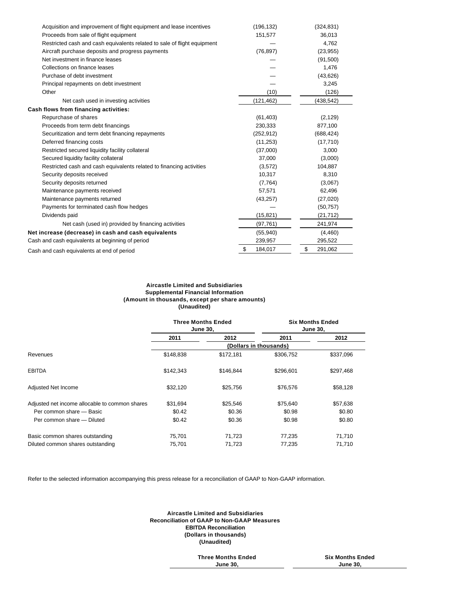| Acquisition and improvement of flight equipment and lease incentives     | (196, 132)    | (324, 831)    |
|--------------------------------------------------------------------------|---------------|---------------|
| Proceeds from sale of flight equipment                                   | 151,577       | 36,013        |
| Restricted cash and cash equivalents related to sale of flight equipment |               | 4,762         |
| Aircraft purchase deposits and progress payments                         | (76, 897)     | (23, 955)     |
| Net investment in finance leases                                         |               | (91,500)      |
| Collections on finance leases                                            |               | 1,476         |
| Purchase of debt investment                                              |               | (43, 626)     |
| Principal repayments on debt investment                                  |               | 3,245         |
| Other                                                                    | (10)          | (126)         |
| Net cash used in investing activities                                    | (121, 462)    | (438, 542)    |
| Cash flows from financing activities:                                    |               |               |
| Repurchase of shares                                                     | (61, 403)     | (2, 129)      |
| Proceeds from term debt financings                                       | 230,333       | 877,100       |
| Securitization and term debt financing repayments                        | (252, 912)    | (688, 424)    |
| Deferred financing costs                                                 | (11, 253)     | (17, 710)     |
| Restricted secured liquidity facility collateral                         | (37,000)      | 3,000         |
| Secured liquidity facility collateral                                    | 37,000        | (3,000)       |
| Restricted cash and cash equivalents related to financing activities     | (3, 572)      | 104,887       |
| Security deposits received                                               | 10,317        | 8,310         |
| Security deposits returned                                               | (7, 764)      | (3,067)       |
| Maintenance payments received                                            | 57,571        | 62,496        |
| Maintenance payments returned                                            | (43, 257)     | (27,020)      |
| Payments for terminated cash flow hedges                                 |               | (50, 757)     |
| Dividends paid                                                           | (15, 821)     | (21, 712)     |
| Net cash (used in) provided by financing activities                      | (97, 761)     | 241,974       |
| Net increase (decrease) in cash and cash equivalents                     | (55,940)      | (4,460)       |
| Cash and cash equivalents at beginning of period                         | 239,957       | 295,522       |
| Cash and cash equivalents at end of period                               | \$<br>184,017 | \$<br>291,062 |

#### **Aircastle Limited and Subsidiaries Supplemental Financial Information (Amount in thousands, except per share amounts) (Unaudited)**

|                                                |           | <b>Three Months Ended</b><br><b>June 30,</b> |                        | <b>Six Months Ended</b><br><b>June 30,</b> |
|------------------------------------------------|-----------|----------------------------------------------|------------------------|--------------------------------------------|
|                                                | 2011      | 2012                                         | 2011                   | 2012                                       |
|                                                |           |                                              | (Dollars in thousands) |                                            |
| Revenues                                       | \$148,838 | \$172,181                                    | \$306,752              | \$337,096                                  |
| <b>EBITDA</b>                                  | \$142,343 | \$146,844                                    | \$296,601              | \$297,468                                  |
| Adjusted Net Income                            | \$32,120  | \$25,756                                     | \$76,576               | \$58,128                                   |
| Adjusted net income allocable to common shares | \$31,694  | \$25,546                                     | \$75,640               | \$57,638                                   |
| Per common share - Basic                       | \$0.42    | \$0.36                                       | \$0.98                 | \$0.80                                     |
| Per common share - Diluted                     | \$0.42    | \$0.36                                       | \$0.98                 | \$0.80                                     |
| Basic common shares outstanding                | 75,701    | 71,723                                       | 77,235                 | 71,710                                     |
| Diluted common shares outstanding              | 75,701    | 71,723                                       | 77,235                 | 71,710                                     |

Refer to the selected information accompanying this press release for a reconciliation of GAAP to Non-GAAP information.

**Aircastle Limited and Subsidiaries Reconciliation of GAAP to Non-GAAP Measures EBITDA Reconciliation (Dollars in thousands) (Unaudited)**

> **Three Months Ended June 30,**

**Six Months Ended June 30,**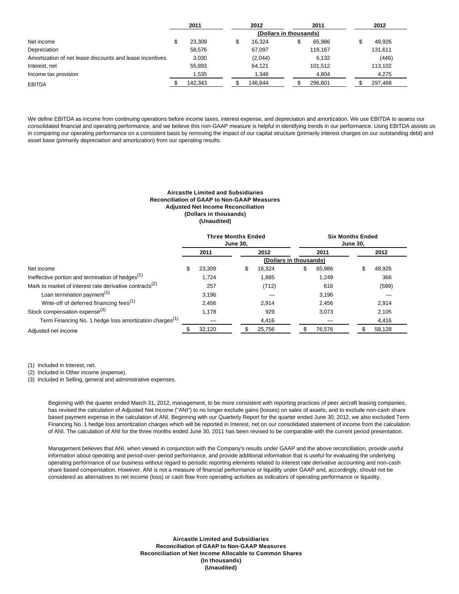|                                                          | 2011    | 2012                   |  | 2011    |  | 2012    |
|----------------------------------------------------------|---------|------------------------|--|---------|--|---------|
|                                                          |         | (Dollars in thousands) |  |         |  |         |
| Net income                                               | 23.309  | 16.324                 |  | 65.986  |  | 48.926  |
| Depreciation                                             | 58,576  | 67.097                 |  | 118.167 |  | 131,611 |
| Amortization of net lease discounts and lease incentives | 3.030   | (2,044)                |  | 6.132   |  | (446)   |
| Interest, net                                            | 55,893  | 64,121                 |  | 101,512 |  | 113,102 |
| Income tax provision                                     | 1.535   | 1.346                  |  | 4.804   |  | 4.275   |
| <b>EBITDA</b>                                            | 142,343 | 146.844                |  | 296.601 |  | 297,468 |

We define EBITDA as income from continuing operations before income taxes, interest expense, and depreciation and amortization. We use EBITDA to assess our consolidated financial and operating performance, and we believe this non-GAAP measure is helpful in identifying trends in our performance. Using EBITDA assists us in comparing our operating performance on a consistent basis by removing the impact of our capital structure (primarily interest charges on our outstanding debt) and asset base (primarily depreciation and amortization) from our operating results.

#### **Aircastle Limited and Subsidiaries Reconciliation of GAAP to Non-GAAP Measures Adjusted Net Income Reconciliation (Dollars in thousands) (Unaudited)**

|                                                                     | <b>Three Months Ended</b><br><b>June 30.</b> |        |   |                        | <b>Six Months Ended</b><br><b>June 30.</b> |        |    |        |
|---------------------------------------------------------------------|----------------------------------------------|--------|---|------------------------|--------------------------------------------|--------|----|--------|
|                                                                     | 2011                                         |        |   | 2012                   |                                            | 2011   |    | 2012   |
|                                                                     |                                              |        |   | (Dollars in thousands) |                                            |        |    |        |
| Net income                                                          | \$                                           | 23.309 | S | 16,324                 | \$                                         | 65,986 | \$ | 48,926 |
| Ineffective portion and termination of hedges $(1)$                 |                                              | 1.724  |   | 1,885                  |                                            | 1.249  |    | 366    |
| Mark to market of interest rate derivative contracts <sup>(2)</sup> |                                              | 257    |   | (712)                  |                                            | 616    |    | (599)  |
| Loan termination payment <sup>(1)</sup>                             |                                              | 3.196  |   |                        |                                            | 3.196  |    |        |
| Write-off of deferred financing fees <sup>(1)</sup>                 |                                              | 2.456  |   | 2.914                  |                                            | 2.456  |    | 2,914  |
| Stock compensation expense <sup>(3)</sup>                           |                                              | 1.178  |   | 929                    |                                            | 3,073  |    | 2,105  |
| Term Financing No. 1 hedge loss amortization charges <sup>(1)</sup> |                                              |        |   | 4,416                  |                                            |        |    | 4,416  |
| Adjusted net income                                                 |                                              | 32,120 |   | 25,756                 |                                            | 76,576 |    | 58,128 |

(1) Included in Interest, net.

(2) Included in Other income (expense).

(3) Included in Selling, general and administrative expenses.

Beginning with the quarter ended March 31, 2012, management, to be more consistent with reporting practices of peer aircraft leasing companies, has revised the calculation of Adjusted Net Income ("ANI") to no longer exclude gains (losses) on sales of assets, and to exclude non-cash share based payment expense in the calculation of ANI. Beginning with our Quarterly Report for the quarter ended June 30, 2012, we also excluded Term Financing No. 1 hedge loss amortization charges which will be reported in Interest, net on our consolidated statement of income from the calculation of ANI. The calculation of ANI for the three months ended June 30, 2011 has been revised to be comparable with the current period presentation.

Management believes that ANI, when viewed in conjunction with the Company's results under GAAP and the above reconciliation, provide useful information about operating and period-over-period performance, and provide additional information that is useful for evaluating the underlying operating performance of our business without regard to periodic reporting elements related to interest rate derivative accounting and non-cash share based compensation. However, ANI is not a measure of financial performance or liquidity under GAAP and, accordingly, should not be considered as alternatives to net income (loss) or cash flow from operating activities as indicators of operating performance or liquidity.

> **Aircastle Limited and Subsidiaries Reconciliation of GAAP to Non-GAAP Measures Reconciliation of Net Income Allocable to Common Shares (In thousands) (Unaudited)**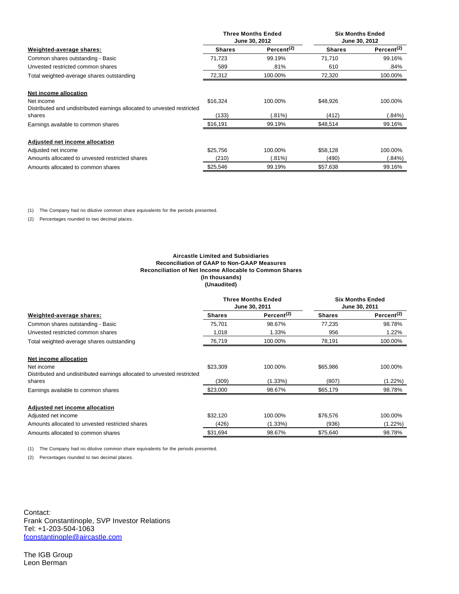|                                                                         |               | <b>Three Months Ended</b><br>June 30, 2012 | <b>Six Months Ended</b><br>June 30, 2012 |                        |
|-------------------------------------------------------------------------|---------------|--------------------------------------------|------------------------------------------|------------------------|
| Weighted-average shares:                                                | <b>Shares</b> | Percent <sup>(2)</sup>                     | <b>Shares</b>                            | Percent <sup>(2)</sup> |
| Common shares outstanding - Basic                                       | 71.723        | 99.19%                                     | 71.710                                   | 99.16%                 |
| Unvested restricted common shares                                       | 589           | .81%                                       | 610                                      | .84%                   |
| Total weighted-average shares outstanding                               | 72,312        | 100.00%                                    | 72,320                                   | 100.00%                |
| Net income allocation                                                   |               |                                            |                                          |                        |
| Net income                                                              | \$16,324      | 100.00%                                    | \$48,926                                 | 100.00%                |
| Distributed and undistributed earnings allocated to unvested restricted |               |                                            |                                          |                        |
| shares                                                                  | (133)         | $(.81\%)$                                  | (412)                                    | $.84\%$                |
| Earnings available to common shares                                     | \$16,191      | 99.19%                                     | \$48,514                                 | 99.16%                 |
| Adjusted net income allocation                                          |               |                                            |                                          |                        |
| Adjusted net income                                                     | \$25,756      | 100.00%                                    | \$58,128                                 | 100.00%                |
| Amounts allocated to unvested restricted shares                         | (210)         | $.81\%$                                    | (490)                                    | $.84\%$                |
| Amounts allocated to common shares                                      | \$25,546      | 99.19%                                     | \$57,638                                 | 99.16%                 |

(1) The Company had no dilutive common share equivalents for the periods presented.

(2) Percentages rounded to two decimal places.

#### **Aircastle Limited and Subsidiaries Reconciliation of GAAP to Non-GAAP Measures Reconciliation of Net Income Allocable to Common Shares (In thousands) (Unaudited)**

|                                                                                       |               | <b>Three Months Ended</b><br>June 30, 2011 | <b>Six Months Ended</b><br>June 30, 2011 |                        |
|---------------------------------------------------------------------------------------|---------------|--------------------------------------------|------------------------------------------|------------------------|
| Weighted-average shares:                                                              | <b>Shares</b> | Percent <sup>(2)</sup>                     | <b>Shares</b>                            | Percent <sup>(2)</sup> |
| Common shares outstanding - Basic                                                     | 75.701        | 98.67%                                     | 77.235                                   | 98.78%                 |
| Unvested restricted common shares                                                     | 1,018         | 1.33%                                      | 956                                      | 1.22%                  |
| Total weighted-average shares outstanding                                             | 76,719        | 100.00%                                    | 78,191                                   | 100.00%                |
| Net income allocation                                                                 |               |                                            |                                          |                        |
| Net income<br>Distributed and undistributed earnings allocated to unvested restricted | \$23.309      | 100.00%                                    | \$65.986                                 | 100.00%                |
| shares                                                                                | (309)         | $(1.33\%)$                                 | (807)                                    | $(1.22\%)$             |
| Earnings available to common shares                                                   | \$23,000      | 98.67%                                     | \$65,179                                 | 98.78%                 |
| Adjusted net income allocation                                                        |               |                                            |                                          |                        |
| Adjusted net income                                                                   | \$32,120      | 100.00%                                    | \$76,576                                 | 100.00%                |
| Amounts allocated to unvested restricted shares                                       | (426)         | (1.33%)                                    | (936)                                    | (1.22%)                |
| Amounts allocated to common shares                                                    | \$31,694      | 98.67%                                     | \$75.640                                 | 98.78%                 |

(1) The Company had no dilutive common share equivalents for the periods presented.

(2) Percentages rounded to two decimal places.

Contact: Frank Constantinople, SVP Investor Relations Tel: +1-203-504-1063 [fconstantinople@aircastle.com](mailto:fconstantinople@aircastle.com) 

The IGB Group Leon Berman